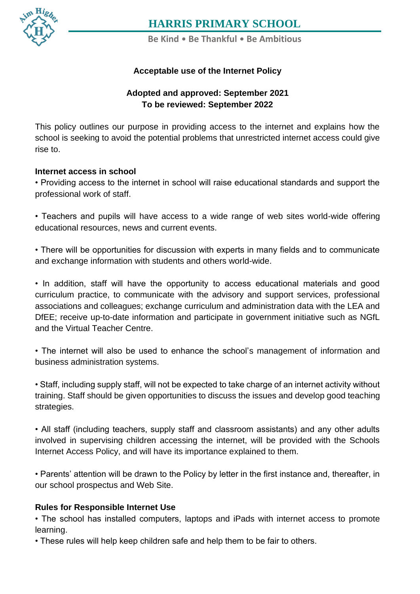

**Be Kind** • **Be Thankful** • **Be Ambitious**

#### **[Contact](https://www.harris.lancs.sch.uk/contact-details/) Acceptable use of the Internet Policy**

#### **Adopted and approved: September 2021 To be reviewed: September 2022**

This policy outlines our purpose in providing access to the internet and explains how the school is seeking to avoid the potential problems that unrestricted internet access could give rise to.

#### **Internet access in school**

• Providing access to the internet in school will raise educational standards and support the professional work of staff.

• Teachers and pupils will have access to a wide range of web sites world-wide offering educational resources, news and current events.

• There will be opportunities for discussion with experts in many fields and to communicate and exchange information with students and others world-wide.

• In addition, staff will have the opportunity to access educational materials and good curriculum practice, to communicate with the advisory and support services, professional associations and colleagues; exchange curriculum and administration data with the LEA and DfEE; receive up-to-date information and participate in government initiative such as NGfL and the Virtual Teacher Centre.

• The internet will also be used to enhance the school's management of information and business administration systems.

• Staff, including supply staff, will not be expected to take charge of an internet activity without training. Staff should be given opportunities to discuss the issues and develop good teaching strategies.

• All staff (including teachers, supply staff and classroom assistants) and any other adults involved in supervising children accessing the internet, will be provided with the Schools Internet Access Policy, and will have its importance explained to them.

• Parents' attention will be drawn to the Policy by letter in the first instance and, thereafter, in our school prospectus and Web Site.

#### **Rules for Responsible Internet Use**

• The school has installed computers, laptops and iPads with internet access to promote learning.

• These rules will help keep children safe and help them to be fair to others.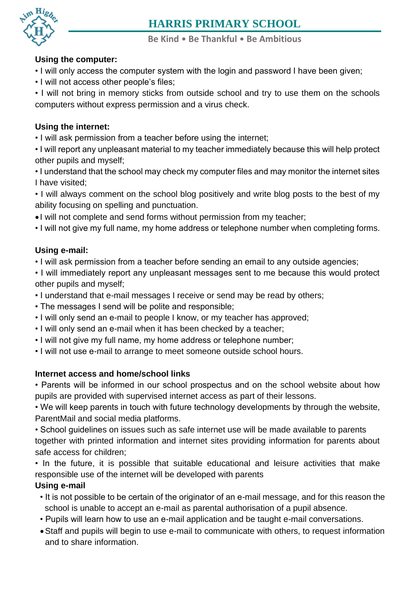

**Be Kind** • **Be Thankful** • **Be Ambitious**

#### **[Using](https://www.harris.lancs.sch.uk/contact-details/) the computer:**

- **[Contact](https://www.harris.lancs.sch.uk/contact-details/)** I will only access the computer system with the login and password I have been given;
	- I will not access other people's files;

• I will not bring in memory sticks from outside school and try to use them on the schools computers without express permission and a virus check.

### **Using the internet:**

• I will ask permission from a teacher before using the internet;

• I will report any unpleasant material to my teacher immediately because this will help protect other pupils and myself;

• I understand that the school may check my computer files and may monitor the internet sites I have visited;

• I will always comment on the school blog positively and write blog posts to the best of my ability focusing on spelling and punctuation.

• I will not complete and send forms without permission from my teacher;

• I will not give my full name, my home address or telephone number when completing forms.

#### **Using e-mail:**

• I will ask permission from a teacher before sending an email to any outside agencies;

• I will immediately report any unpleasant messages sent to me because this would protect other pupils and myself;

- I understand that e-mail messages I receive or send may be read by others;
- The messages I send will be polite and responsible;
- I will only send an e-mail to people I know, or my teacher has approved;
- I will only send an e-mail when it has been checked by a teacher;
- I will not give my full name, my home address or telephone number;
- I will not use e-mail to arrange to meet someone outside school hours.

#### **Internet access and home/school links**

• Parents will be informed in our school prospectus and on the school website about how pupils are provided with supervised internet access as part of their lessons.

• We will keep parents in touch with future technology developments by through the website, ParentMail and social media platforms.

• School guidelines on issues such as safe internet use will be made available to parents together with printed information and internet sites providing information for parents about safe access for children;

• In the future, it is possible that suitable educational and leisure activities that make responsible use of the internet will be developed with parents

#### **Using e-mail**

- It is not possible to be certain of the originator of an e-mail message, and for this reason the school is unable to accept an e-mail as parental authorisation of a pupil absence.
- Pupils will learn how to use an e-mail application and be taught e-mail conversations.
- Staff and pupils will begin to use e-mail to communicate with others, to request information and to share information.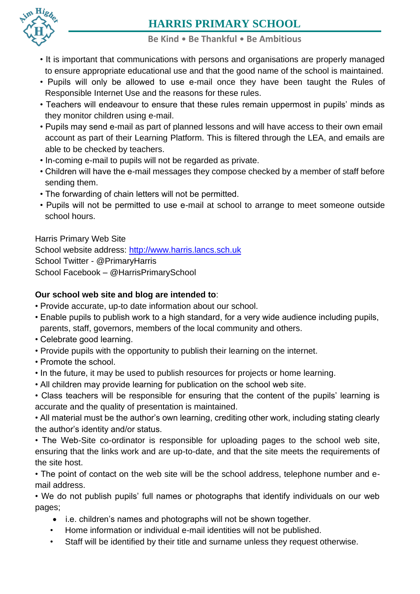

#### **Be Kind** • **Be Thankful** • **Be Ambitious**

- **[Contact](https://www.harris.lancs.sch.uk/contact-details/)** to ensure appropriate educational use and that the good name of the school is maintained. [• It](https://www.harris.lancs.sch.uk/contact-details/) is important that communications with persons and organisations are properly managed
	- Pupils will only be allowed to use e-mail once they have been taught the Rules of Responsible Internet Use and the reasons for these rules.
	- Teachers will endeavour to ensure that these rules remain uppermost in pupils' minds as they monitor children using e-mail.
	- Pupils may send e-mail as part of planned lessons and will have access to their own email account as part of their Learning Platform. This is filtered through the LEA, and emails are able to be checked by teachers.
	- In-coming e-mail to pupils will not be regarded as private.
	- Children will have the e-mail messages they compose checked by a member of staff before sending them.
	- The forwarding of chain letters will not be permitted.
	- Pupils will not be permitted to use e-mail at school to arrange to meet someone outside school hours.

Harris Primary Web Site School website address: [http://www.harris.lancs.sch.uk](http://www.harris.lancs.sch.uk/) School Twitter - @PrimaryHarris School Facebook – @HarrisPrimarySchool

#### **Our school web site and blog are intended to**:

- Provide accurate, up-to date information about our school.
- Enable pupils to publish work to a high standard, for a very wide audience including pupils, parents, staff, governors, members of the local community and others.
- Celebrate good learning.
- Provide pupils with the opportunity to publish their learning on the internet.
- Promote the school.
- In the future, it may be used to publish resources for projects or home learning.
- All children may provide learning for publication on the school web site.

• Class teachers will be responsible for ensuring that the content of the pupils' learning is accurate and the quality of presentation is maintained.

• All material must be the author's own learning, crediting other work, including stating clearly the author's identity and/or status.

• The Web-Site co-ordinator is responsible for uploading pages to the school web site, ensuring that the links work and are up-to-date, and that the site meets the requirements of the site host.

• The point of contact on the web site will be the school address, telephone number and email address.

• We do not publish pupils' full names or photographs that identify individuals on our web pages;

- i.e. children's names and photographs will not be shown together.
- Home information or individual e-mail identities will not be published.
- Staff will be identified by their title and surname unless they request otherwise.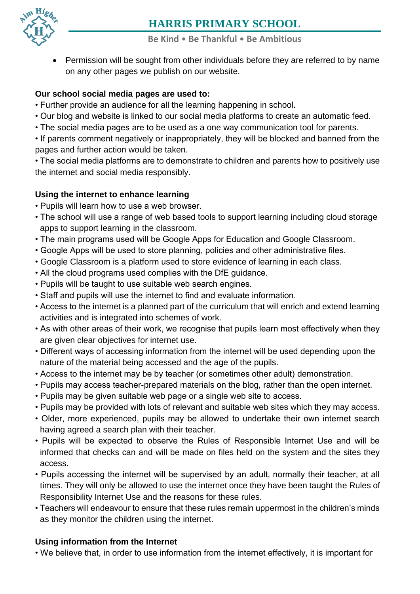

- **Be Kind Be Thankful Be Ambitious**
- [•](https://www.harris.lancs.sch.uk/contact-details/) Permission will be sought from other individuals before they are referred to by name on any other pages we publish on our website.

#### **Our school social media pages are used to:**

- Further provide an audience for all the learning happening in school.
- Our blog and website is linked to our social media platforms to create an automatic feed.
- The social media pages are to be used as a one way communication tool for parents.

• If parents comment negatively or inappropriately, they will be blocked and banned from the pages and further action would be taken.

• The social media platforms are to demonstrate to children and parents how to positively use the internet and social media responsibly.

#### **Using the internet to enhance learning**

- Pupils will learn how to use a web browser.
- The school will use a range of web based tools to support learning including cloud storage apps to support learning in the classroom.
- The main programs used will be Google Apps for Education and Google Classroom.
- Google Apps will be used to store planning, policies and other administrative files.
- Google Classroom is a platform used to store evidence of learning in each class.
- All the cloud programs used complies with the DfE guidance.
- Pupils will be taught to use suitable web search engines.
- Staff and pupils will use the internet to find and evaluate information.
- Access to the internet is a planned part of the curriculum that will enrich and extend learning activities and is integrated into schemes of work.
- As with other areas of their work, we recognise that pupils learn most effectively when they are given clear objectives for internet use.
- Different ways of accessing information from the internet will be used depending upon the nature of the material being accessed and the age of the pupils.
- Access to the internet may be by teacher (or sometimes other adult) demonstration.
- Pupils may access teacher-prepared materials on the blog, rather than the open internet.
- Pupils may be given suitable web page or a single web site to access.
- Pupils may be provided with lots of relevant and suitable web sites which they may access.
- Older, more experienced, pupils may be allowed to undertake their own internet search having agreed a search plan with their teacher.
- Pupils will be expected to observe the Rules of Responsible Internet Use and will be informed that checks can and will be made on files held on the system and the sites they access.
- Pupils accessing the internet will be supervised by an adult, normally their teacher, at all times. They will only be allowed to use the internet once they have been taught the Rules of Responsibility Internet Use and the reasons for these rules.
- Teachers will endeavour to ensure that these rules remain uppermost in the children's minds as they monitor the children using the internet.

#### **Using information from the Internet**

• We believe that, in order to use information from the internet effectively, it is important for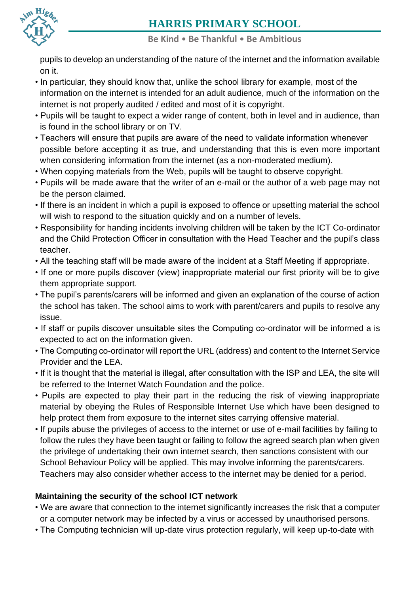

**Be Kind** • **Be Thankful** • **Be Ambitious**

**Contract** [pupils](https://www.harris.lancs.sch.uk/contact-details/) to develop an understanding of the nature of the internet and the information available

- In particular, they should know that, unlike the school library for example, most of the information on the internet is intended for an adult audience, much of the information on the internet is not properly audited / edited and most of it is copyright.
- Pupils will be taught to expect a wider range of content, both in level and in audience, than is found in the school library or on TV.
- Teachers will ensure that pupils are aware of the need to validate information whenever possible before accepting it as true, and understanding that this is even more important when considering information from the internet (as a non-moderated medium).
- When copying materials from the Web, pupils will be taught to observe copyright.
- Pupils will be made aware that the writer of an e-mail or the author of a web page may not be the person claimed.
- If there is an incident in which a pupil is exposed to offence or upsetting material the school will wish to respond to the situation quickly and on a number of levels.
- Responsibility for handing incidents involving children will be taken by the ICT Co-ordinator and the Child Protection Officer in consultation with the Head Teacher and the pupil's class teacher.
- All the teaching staff will be made aware of the incident at a Staff Meeting if appropriate.
- If one or more pupils discover (view) inappropriate material our first priority will be to give them appropriate support.
- The pupil's parents/carers will be informed and given an explanation of the course of action the school has taken. The school aims to work with parent/carers and pupils to resolve any issue.
- If staff or pupils discover unsuitable sites the Computing co-ordinator will be informed a is expected to act on the information given.
- The Computing co-ordinator will report the URL (address) and content to the Internet Service Provider and the LEA.
- If it is thought that the material is illegal, after consultation with the ISP and LEA, the site will be referred to the Internet Watch Foundation and the police.
- Pupils are expected to play their part in the reducing the risk of viewing inappropriate material by obeying the Rules of Responsible Internet Use which have been designed to help protect them from exposure to the internet sites carrying offensive material.
- If pupils abuse the privileges of access to the internet or use of e-mail facilities by failing to follow the rules they have been taught or failing to follow the agreed search plan when given the privilege of undertaking their own internet search, then sanctions consistent with our School Behaviour Policy will be applied. This may involve informing the parents/carers. Teachers may also consider whether access to the internet may be denied for a period.

### **Maintaining the security of the school ICT network**

- We are aware that connection to the internet significantly increases the risk that a computer or a computer network may be infected by a virus or accessed by unauthorised persons.
- The Computing technician will up-date virus protection regularly, will keep up-to-date with